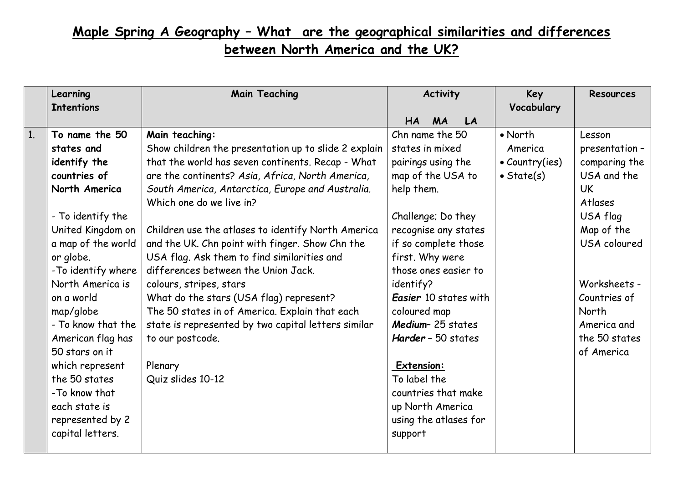## **Maple Spring A Geography – What are the geographical similarities and differences**

**between North America and the UK?**

|                | Learning<br><b>Intentions</b> | <b>Main Teaching</b>                                 | <b>Activity</b>       | Key<br>Vocabulary      | <b>Resources</b> |
|----------------|-------------------------------|------------------------------------------------------|-----------------------|------------------------|------------------|
|                |                               |                                                      | HA<br><b>MA</b><br>LA |                        |                  |
| 1 <sub>1</sub> | To name the 50                | Main teaching:                                       | Chn name the 50       | $\bullet$ North        | Lesson           |
|                | states and                    | Show children the presentation up to slide 2 explain | states in mixed       | America                | presentation -   |
|                | identify the                  | that the world has seven continents. Recap - What    | pairings using the    | $\bullet$ Country(ies) | comparing the    |
|                | countries of                  | are the continents? Asia, Africa, North America,     | map of the USA to     | $\bullet$ State(s)     | USA and the      |
|                | North America                 | South America, Antarctica, Europe and Australia.     | help them.            |                        | <b>UK</b>        |
|                |                               | Which one do we live in?                             |                       |                        | Atlases          |
|                | - To identify the             |                                                      | Challenge; Do they    |                        | USA flag         |
|                | United Kingdom on             | Children use the atlases to identify North America   | recognise any states  |                        | Map of the       |
|                | a map of the world            | and the UK. Chn point with finger. Show Chn the      | if so complete those  |                        | USA coloured     |
|                | or globe.                     | USA flag. Ask them to find similarities and          | first. Why were       |                        |                  |
|                | -To identify where            | differences between the Union Jack.                  | those ones easier to  |                        |                  |
|                | North America is              | colours, stripes, stars                              | identify?             |                        | Worksheets -     |
|                | on a world                    | What do the stars (USA flag) represent?              | Easier 10 states with |                        | Countries of     |
|                | map/globe                     | The 50 states in of America. Explain that each       | coloured map          |                        | North            |
|                | - To know that the            | state is represented by two capital letters similar  | Medium-25 states      |                        | America and      |
|                | American flag has             | to our postcode.                                     | Harder - 50 states    |                        | the 50 states    |
|                | 50 stars on it                |                                                      |                       |                        | of America       |
|                | which represent               | Plenary                                              | Extension:            |                        |                  |
|                | the 50 states                 | Quiz slides 10-12                                    | To label the          |                        |                  |
|                | -To know that                 |                                                      | countries that make   |                        |                  |
|                | each state is                 |                                                      | up North America      |                        |                  |
|                | represented by 2              |                                                      | using the atlases for |                        |                  |
|                | capital letters.              |                                                      | support               |                        |                  |
|                |                               |                                                      |                       |                        |                  |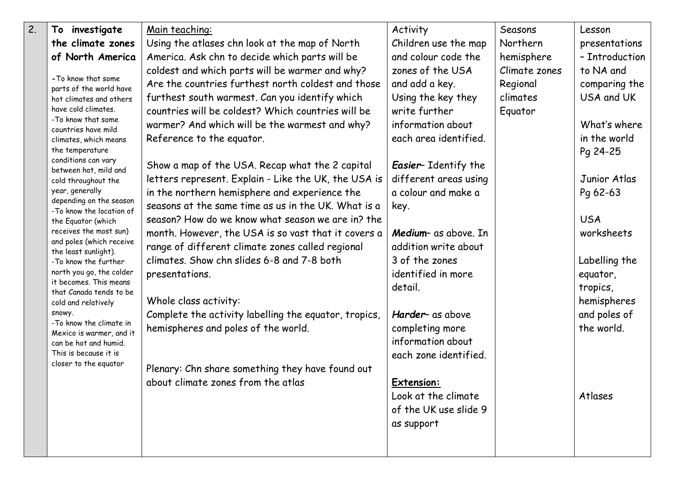| $\overline{2}$ . | investigate<br>To                                   | Main teaching:                                        | Activity                    | Seasons       | Lesson         |
|------------------|-----------------------------------------------------|-------------------------------------------------------|-----------------------------|---------------|----------------|
|                  | the climate zones                                   | Using the atlases chn look at the map of North        | Children use the map        | Northern      | presentations  |
|                  | of North America                                    | America. Ask chn to decide which parts will be        | and colour code the         | hemisphere    | - Introduction |
|                  |                                                     | coldest and which parts will be warmer and why?       | zones of the USA            | Climate zones | to NA and      |
|                  | - To know that some<br>parts of the world have      | Are the countries furthest north coldest and those    | and add a key.              | Regional      | comparing the  |
|                  | hot climates and others                             | furthest south warmest. Can you identify which        | Using the key they          | climates      | USA and UK     |
|                  | have cold climates.                                 | countries will be coldest? Which countries will be    | write further               | Equator       |                |
|                  | -To know that some<br>countries have mild           | warmer? And which will be the warmest and why?        | information about           |               | What's where   |
|                  | climates, which means                               | Reference to the equator.                             | each area identified.       |               | in the world   |
|                  | the temperature                                     |                                                       |                             |               | Pg 24-25       |
|                  | conditions can vary<br>between hot, mild and        | Show a map of the USA. Recap what the 2 capital       | <b>Easier-</b> Identify the |               |                |
|                  | cold throughout the                                 | letters represent. Explain - Like the UK, the USA is  | different areas using       |               | Junior Atlas   |
|                  | year, generally                                     | in the northern hemisphere and experience the         | a colour and make a         |               | Pq 62-63       |
|                  | depending on the season<br>-To know the location of | seasons at the same time as us in the UK. What is a   | key.                        |               |                |
|                  | the Equator (which                                  | season? How do we know what season we are in? the     |                             |               | <b>USA</b>     |
|                  | receives the most sun)                              | month. However, the USA is so vast that it covers a   | Medium- as above. In        |               | worksheets     |
|                  | and poles (which receive<br>the least sunlight).    | range of different climate zones called regional      | addition write about        |               |                |
|                  | -To know the further                                | climates. Show chn slides 6-8 and 7-8 both            | 3 of the zones              |               | Labelling the  |
|                  | north you go, the colder                            | presentations.                                        | identified in more          |               | equator,       |
|                  | it becomes. This means<br>that Canada tends to be   |                                                       | detail.                     |               | tropics,       |
|                  | cold and relatively                                 | Whole class activity:                                 |                             |               | hemispheres    |
|                  | snowy.                                              | Complete the activity labelling the equator, tropics, | Harder- as above            |               | and poles of   |
|                  | -To know the climate in<br>Mexico is warmer, and it | hemispheres and poles of the world.                   | completing more             |               | the world.     |
|                  | can be hot and humid.                               |                                                       | information about           |               |                |
|                  | This is because it is                               |                                                       | each zone identified.       |               |                |
|                  | closer to the equator                               | Plenary: Chn share something they have found out      |                             |               |                |
|                  |                                                     | about climate zones from the atlas                    | <b>Extension:</b>           |               |                |
|                  |                                                     |                                                       | Look at the climate         |               | Atlases        |
|                  |                                                     |                                                       | of the UK use slide 9       |               |                |
|                  |                                                     |                                                       | as support                  |               |                |
|                  |                                                     |                                                       |                             |               |                |
|                  |                                                     |                                                       |                             |               |                |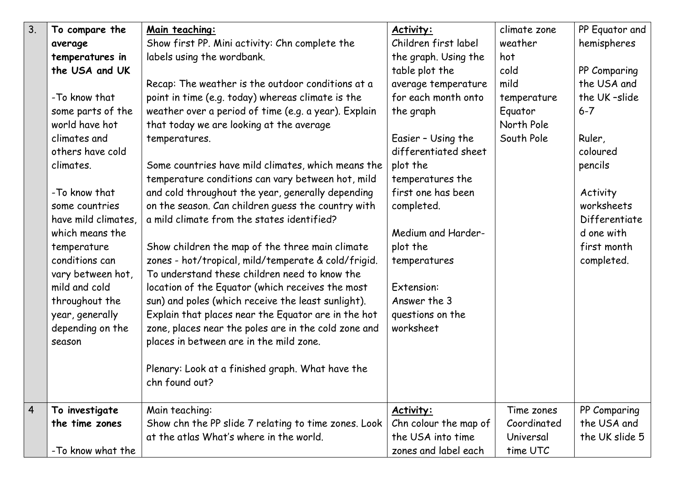| 3 <sub>1</sub> | To compare the<br>average<br>temperatures in<br>the USA and UK<br>-To know that<br>some parts of the<br>world have hot<br>climates and<br>others have cold<br>climates.<br>-To know that<br>some countries<br>have mild climates,<br>which means the<br>temperature<br>conditions can<br>vary between hot,<br>mild and cold<br>throughout the<br>year, generally | Main teaching:<br>Show first PP. Mini activity: Chn complete the<br>labels using the wordbank.<br>Recap: The weather is the outdoor conditions at a<br>point in time (e.g. today) whereas climate is the<br>weather over a period of time (e.g. a year). Explain<br>that today we are looking at the average<br>temperatures.<br>Some countries have mild climates, which means the<br>temperature conditions can vary between hot, mild<br>and cold throughout the year, generally depending<br>on the season. Can children guess the country with<br>a mild climate from the states identified?<br>Show children the map of the three main climate<br>zones - hot/tropical, mild/temperate & cold/frigid.<br>To understand these children need to know the<br>location of the Equator (which receives the most<br>sun) and poles (which receive the least sunlight).<br>Explain that places near the Equator are in the hot | Activity:<br>Children first label<br>the graph. Using the<br>table plot the<br>average temperature<br>for each month onto<br>the graph<br>Easier - Using the<br>differentiated sheet<br>plot the<br>temperatures the<br>first one has been<br>completed.<br>Medium and Harder-<br>plot the<br>temperatures<br>Extension:<br>Answer the 3<br>questions on the | climate zone<br>weather<br>hot<br>cold<br>mild<br>temperature<br>Equator<br>North Pole<br>South Pole | PP Equator and<br>hemispheres<br>PP Comparing<br>the USA and<br>the UK-slide<br>$6 - 7$<br>Ruler,<br>coloured<br>pencils<br>Activity<br>worksheets<br>Differentiate<br>d one with<br>first month<br>completed. |
|----------------|------------------------------------------------------------------------------------------------------------------------------------------------------------------------------------------------------------------------------------------------------------------------------------------------------------------------------------------------------------------|-------------------------------------------------------------------------------------------------------------------------------------------------------------------------------------------------------------------------------------------------------------------------------------------------------------------------------------------------------------------------------------------------------------------------------------------------------------------------------------------------------------------------------------------------------------------------------------------------------------------------------------------------------------------------------------------------------------------------------------------------------------------------------------------------------------------------------------------------------------------------------------------------------------------------------|--------------------------------------------------------------------------------------------------------------------------------------------------------------------------------------------------------------------------------------------------------------------------------------------------------------------------------------------------------------|------------------------------------------------------------------------------------------------------|----------------------------------------------------------------------------------------------------------------------------------------------------------------------------------------------------------------|
|                | depending on the<br>season                                                                                                                                                                                                                                                                                                                                       | zone, places near the poles are in the cold zone and<br>places in between are in the mild zone.<br>Plenary: Look at a finished graph. What have the<br>chn found out?                                                                                                                                                                                                                                                                                                                                                                                                                                                                                                                                                                                                                                                                                                                                                         | worksheet                                                                                                                                                                                                                                                                                                                                                    |                                                                                                      |                                                                                                                                                                                                                |
| $\overline{4}$ | To investigate<br>the time zones<br>-To know what the                                                                                                                                                                                                                                                                                                            | Main teaching:<br>Show chn the PP slide 7 relating to time zones. Look<br>at the atlas What's where in the world.                                                                                                                                                                                                                                                                                                                                                                                                                                                                                                                                                                                                                                                                                                                                                                                                             | Activity:<br>Chn colour the map of<br>the USA into time<br>zones and label each                                                                                                                                                                                                                                                                              | Time zones<br>Coordinated<br>Universal<br>time UTC                                                   | PP Comparing<br>the USA and<br>the UK slide 5                                                                                                                                                                  |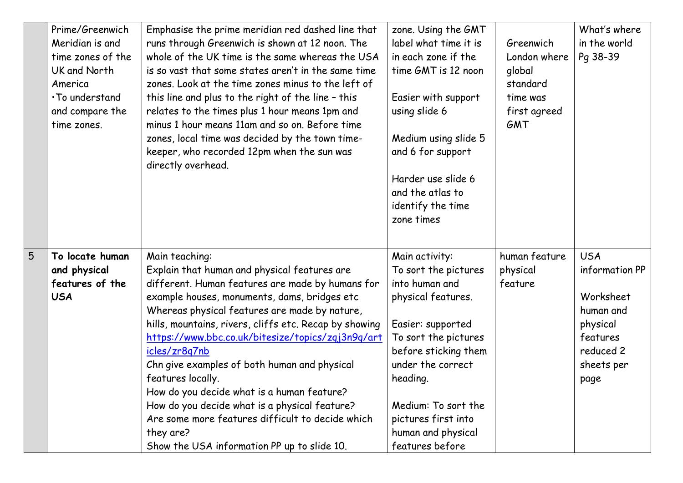|   | Prime/Greenwich<br>Meridian is and<br>time zones of the<br>UK and North<br>America<br>. To understand<br>and compare the<br>time zones. | Emphasise the prime meridian red dashed line that<br>runs through Greenwich is shown at 12 noon. The<br>whole of the UK time is the same whereas the USA<br>is so vast that some states aren't in the same time<br>zones. Look at the time zones minus to the left of<br>this line and plus to the right of the line - this<br>relates to the times plus 1 hour means 1pm and<br>minus 1 hour means 11am and so on. Before time<br>zones, local time was decided by the town time-<br>keeper, who recorded 12pm when the sun was<br>directly overhead.                                                                                  | zone. Using the GMT<br>label what time it is<br>in each zone if the<br>time GMT is 12 noon<br>Easier with support<br>using slide 6<br>Medium using slide 5<br>and 6 for support<br>Harder use slide 6<br>and the atlas to<br>identify the time<br>zone times                | Greenwich<br>London where<br>global<br>standard<br>time was<br>first agreed<br>GMT | What's where<br>in the world<br>Pq 38-39                                                                          |
|---|-----------------------------------------------------------------------------------------------------------------------------------------|-----------------------------------------------------------------------------------------------------------------------------------------------------------------------------------------------------------------------------------------------------------------------------------------------------------------------------------------------------------------------------------------------------------------------------------------------------------------------------------------------------------------------------------------------------------------------------------------------------------------------------------------|-----------------------------------------------------------------------------------------------------------------------------------------------------------------------------------------------------------------------------------------------------------------------------|------------------------------------------------------------------------------------|-------------------------------------------------------------------------------------------------------------------|
| 5 | To locate human<br>and physical<br>features of the<br><b>USA</b>                                                                        | Main teaching:<br>Explain that human and physical features are<br>different. Human features are made by humans for<br>example houses, monuments, dams, bridges etc<br>Whereas physical features are made by nature,<br>hills, mountains, rivers, cliffs etc. Recap by showing<br>https://www.bbc.co.uk/bitesize/topics/zqj3n9q/art<br>icles/zr8q7nb<br>Chn give examples of both human and physical<br>features locally.<br>How do you decide what is a human feature?<br>How do you decide what is a physical feature?<br>Are some more features difficult to decide which<br>they are?<br>Show the USA information PP up to slide 10. | Main activity:<br>To sort the pictures<br>into human and<br>physical features.<br>Easier: supported<br>To sort the pictures<br>before sticking them<br>under the correct<br>heading.<br>Medium: To sort the<br>pictures first into<br>human and physical<br>features before | human feature<br>physical<br>feature                                               | <b>USA</b><br>information PP<br>Worksheet<br>human and<br>physical<br>features<br>reduced 2<br>sheets per<br>page |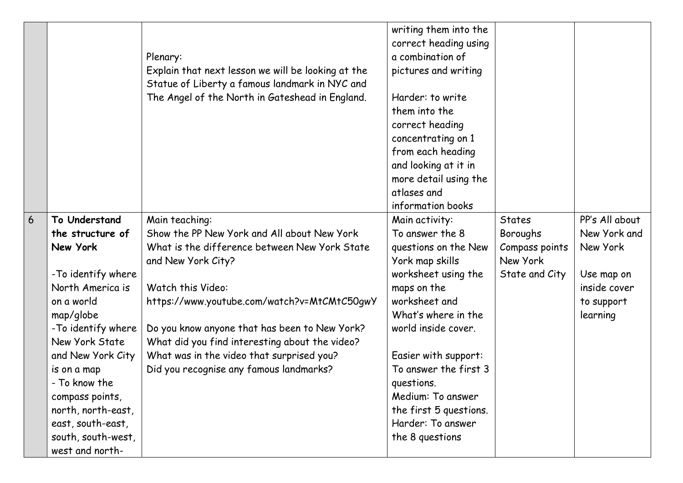|                 |                                         | Plenary:<br>Explain that next lesson we will be looking at the<br>Statue of Liberty a famous landmark in NYC and<br>The Angel of the North in Gateshead in England. | writing them into the<br>correct heading using<br>a combination of<br>pictures and writing<br>Harder: to write<br>them into the<br>correct heading<br>concentrating on 1<br>from each heading<br>and looking at it in<br>more detail using the<br>atlases and<br>information books |                            |                |
|-----------------|-----------------------------------------|---------------------------------------------------------------------------------------------------------------------------------------------------------------------|------------------------------------------------------------------------------------------------------------------------------------------------------------------------------------------------------------------------------------------------------------------------------------|----------------------------|----------------|
| $6\overline{6}$ | To Understand                           | Main teaching:                                                                                                                                                      | Main activity:                                                                                                                                                                                                                                                                     | <b>States</b>              | PP's All about |
|                 | the structure of                        | Show the PP New York and All about New York                                                                                                                         | To answer the 8                                                                                                                                                                                                                                                                    | Boroughs                   | New York and   |
|                 | New York                                | What is the difference between New York State                                                                                                                       | questions on the New                                                                                                                                                                                                                                                               | Compass points<br>New York | New York       |
|                 | -To identify where                      | and New York City?                                                                                                                                                  | York map skills<br>worksheet using the                                                                                                                                                                                                                                             | State and City             | Use map on     |
|                 | North America is                        | Watch this Video:                                                                                                                                                   | maps on the                                                                                                                                                                                                                                                                        |                            | inside cover   |
|                 | on a world                              | https://www.youtube.com/watch?v=MtCMtC50gwY                                                                                                                         | worksheet and                                                                                                                                                                                                                                                                      |                            | to support     |
|                 | map/globe                               |                                                                                                                                                                     | What's where in the                                                                                                                                                                                                                                                                |                            | learning       |
|                 | - To identify where                     | Do you know anyone that has been to New York?                                                                                                                       | world inside cover.                                                                                                                                                                                                                                                                |                            |                |
|                 | New York State                          | What did you find interesting about the video?                                                                                                                      |                                                                                                                                                                                                                                                                                    |                            |                |
|                 | and New York City                       | What was in the video that surprised you?                                                                                                                           | Easier with support:                                                                                                                                                                                                                                                               |                            |                |
|                 | is on a map                             | Did you recognise any famous landmarks?                                                                                                                             | To answer the first 3                                                                                                                                                                                                                                                              |                            |                |
|                 | - To know the                           |                                                                                                                                                                     | questions.                                                                                                                                                                                                                                                                         |                            |                |
|                 | compass points,                         |                                                                                                                                                                     | Medium: To answer                                                                                                                                                                                                                                                                  |                            |                |
|                 | north, north-east,                      |                                                                                                                                                                     | the first 5 questions.<br>Harder: To answer                                                                                                                                                                                                                                        |                            |                |
|                 | east, south-east,<br>south, south-west, |                                                                                                                                                                     | the 8 questions                                                                                                                                                                                                                                                                    |                            |                |
|                 | west and north-                         |                                                                                                                                                                     |                                                                                                                                                                                                                                                                                    |                            |                |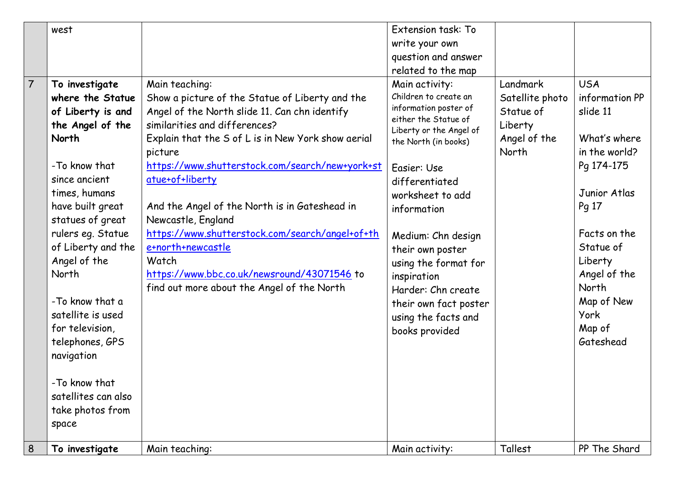|                | west                |                                                    | Extension task: To                              |                 |                |
|----------------|---------------------|----------------------------------------------------|-------------------------------------------------|-----------------|----------------|
|                |                     |                                                    | write your own                                  |                 |                |
|                |                     |                                                    | question and answer                             |                 |                |
|                |                     |                                                    | related to the map                              |                 |                |
| $\overline{7}$ | To investigate      | Main teaching:                                     | Main activity:                                  | Landmark        | <b>USA</b>     |
|                | where the Statue    | Show a picture of the Statue of Liberty and the    | Children to create an                           | Satellite photo | information PP |
|                | of Liberty is and   | Angel of the North slide 11. Can chn identify      | information poster of                           | Statue of       | slide 11       |
|                | the Angel of the    | similarities and differences?                      | either the Statue of<br>Liberty or the Angel of | Liberty         |                |
|                | North               | Explain that the S of L is in New York show aerial | the North (in books)                            | Angel of the    | What's where   |
|                |                     | picture                                            |                                                 | North           | in the world?  |
|                | -To know that       | https://www.shutterstock.com/search/new+york+st    | Easier: Use                                     |                 | Pg 174-175     |
|                | since ancient       | atue+of+liberty                                    | differentiated                                  |                 |                |
|                | times, humans       |                                                    | worksheet to add                                |                 | Junior Atlas   |
|                | have built great    | And the Angel of the North is in Gateshead in      | information                                     |                 | Pg 17          |
|                | statues of great    | Newcastle, England                                 |                                                 |                 |                |
|                | rulers eg. Statue   | https://www.shutterstock.com/search/angel+of+th    | Medium: Chn design                              |                 | Facts on the   |
|                | of Liberty and the  | e+north+newcastle                                  | their own poster                                |                 | Statue of      |
|                | Angel of the        | Watch                                              | using the format for                            |                 | Liberty        |
|                | North               | https://www.bbc.co.uk/newsround/43071546 to        | inspiration                                     |                 | Angel of the   |
|                |                     | find out more about the Angel of the North         | Harder: Chn create                              |                 | North          |
|                | -To know that a     |                                                    | their own fact poster                           |                 | Map of New     |
|                | satellite is used   |                                                    | using the facts and                             |                 | <b>York</b>    |
|                | for television,     |                                                    | books provided                                  |                 | Map of         |
|                | telephones, GPS     |                                                    |                                                 |                 | Gateshead      |
|                | navigation          |                                                    |                                                 |                 |                |
|                | -To know that       |                                                    |                                                 |                 |                |
|                | satellites can also |                                                    |                                                 |                 |                |
|                | take photos from    |                                                    |                                                 |                 |                |
|                | space               |                                                    |                                                 |                 |                |
|                |                     |                                                    |                                                 |                 |                |
| 8              | To investigate      | Main teaching:                                     | Main activity:                                  | Tallest         | PP The Shard   |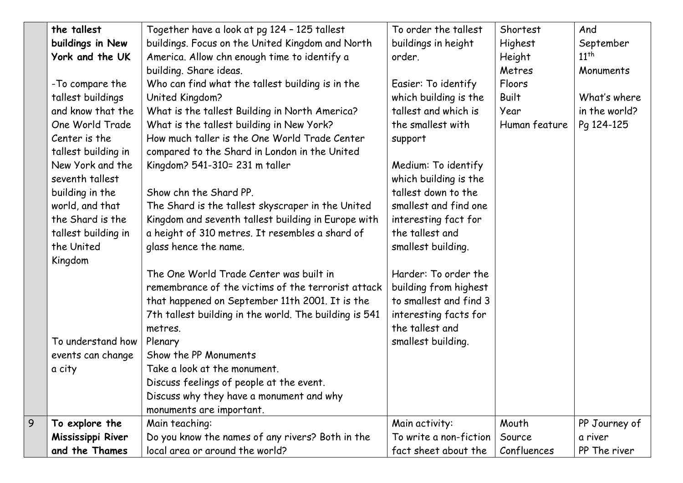|   | the tallest         | Together have a look at pg 124 - 125 tallest           | To order the tallest   | Shortest      | And           |
|---|---------------------|--------------------------------------------------------|------------------------|---------------|---------------|
|   | buildings in New    | buildings. Focus on the United Kingdom and North       | buildings in height    | Highest       | September     |
|   | York and the UK     | America. Allow chn enough time to identify a           | order.                 | Height        | $11^{th}$     |
|   |                     | building. Share ideas.                                 |                        | Metres        | Monuments     |
|   | -To compare the     | Who can find what the tallest building is in the       | Easier: To identify    | Floors        |               |
|   | tallest buildings   | United Kingdom?                                        | which building is the  | <b>Built</b>  | What's where  |
|   | and know that the   | What is the tallest Building in North America?         | tallest and which is   | Year          | in the world? |
|   | One World Trade     | What is the tallest building in New York?              | the smallest with      | Human feature | Pg 124-125    |
|   | Center is the       | How much taller is the One World Trade Center          | support                |               |               |
|   | tallest building in | compared to the Shard in London in the United          |                        |               |               |
|   | New York and the    | Kingdom? 541-310= 231 m taller                         | Medium: To identify    |               |               |
|   | seventh tallest     |                                                        | which building is the  |               |               |
|   | building in the     | Show chn the Shard PP.                                 | tallest down to the    |               |               |
|   | world, and that     | The Shard is the tallest skyscraper in the United      | smallest and find one  |               |               |
|   | the Shard is the    | Kingdom and seventh tallest building in Europe with    | interesting fact for   |               |               |
|   | tallest building in | a height of 310 metres. It resembles a shard of        | the tallest and        |               |               |
|   | the United          | glass hence the name.                                  | smallest building.     |               |               |
|   | Kingdom             |                                                        |                        |               |               |
|   |                     | The One World Trade Center was built in                | Harder: To order the   |               |               |
|   |                     | remembrance of the victims of the terrorist attack     | building from highest  |               |               |
|   |                     | that happened on September 11th 2001. It is the        | to smallest and find 3 |               |               |
|   |                     | 7th tallest building in the world. The building is 541 | interesting facts for  |               |               |
|   |                     | metres.                                                | the tallest and        |               |               |
|   | To understand how   | Plenary                                                | smallest building.     |               |               |
|   | events can change   | Show the PP Monuments                                  |                        |               |               |
|   | a city              | Take a look at the monument.                           |                        |               |               |
|   |                     | Discuss feelings of people at the event.               |                        |               |               |
|   |                     | Discuss why they have a monument and why               |                        |               |               |
|   |                     | monuments are important.                               |                        |               |               |
| 9 | To explore the      | Main teaching:                                         | Main activity:         | Mouth         | PP Journey of |
|   | Mississippi River   | Do you know the names of any rivers? Both in the       | To write a non-fiction | Source        | a river       |
|   | and the Thames      | local area or around the world?                        | fact sheet about the   | Confluences   | PP The river  |